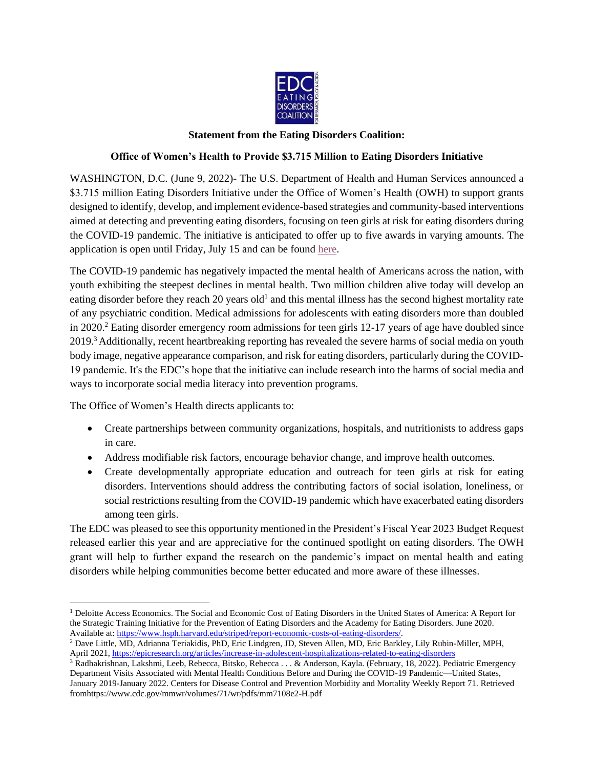

## **Statement from the Eating Disorders Coalition:**

## **Office of Women's Health to Provide \$3.715 Million to Eating Disorders Initiative**

WASHINGTON, D.C. (June 9, 2022)- The U.S. Department of Health and Human Services announced a \$3.715 million Eating Disorders Initiative under the Office of Women's Health (OWH) to support grants designed to identify, develop, and implement evidence-based strategies and community-based interventions aimed at detecting and preventing eating disorders, focusing on teen girls at risk for eating disorders during the COVID-19 pandemic. The initiative is anticipated to offer up to five awards in varying amounts. The application is open until Friday, July 15 and can be found [here.](https://www.grants.gov/web/grants/search-grants.html?keywords=OWH)

The COVID-19 pandemic has negatively impacted the mental health of Americans across the nation, with youth exhibiting the steepest declines in mental health. Two million children alive today will develop an eating disorder before they reach 20 years old<sup>1</sup> and this mental illness has the second highest mortality rate of any psychiatric condition. Medical admissions for adolescents with eating disorders more than doubled in 2020.<sup>2</sup> Eating disorder emergency room admissions for teen girls 12-17 years of age have doubled since 2019.<sup>3</sup> Additionally, recent heartbreaking reporting has revealed the severe harms of social media on youth body image, negative appearance comparison, and risk for eating disorders, particularly during the COVID-19 pandemic. It's the EDC's hope that the initiative can include research into the harms of social media and ways to incorporate social media literacy into prevention programs.

The Office of Women's Health directs applicants to:

- Create partnerships between community organizations, hospitals, and nutritionists to address gaps in care.
- Address modifiable risk factors, encourage behavior change, and improve health outcomes.
- Create developmentally appropriate education and outreach for teen girls at risk for eating disorders. Interventions should address the contributing factors of social isolation, loneliness, or social restrictions resulting from the COVID-19 pandemic which have exacerbated eating disorders among teen girls.

The EDC was pleased to see this opportunity mentioned in the President's Fiscal Year 2023 Budget Request released earlier this year and are appreciative for the continued spotlight on eating disorders. The OWH grant will help to further expand the research on the pandemic's impact on mental health and eating disorders while helping communities become better educated and more aware of these illnesses.

<sup>&</sup>lt;sup>1</sup> Deloitte Access Economics. The Social and Economic Cost of Eating Disorders in the United States of America: A Report for the Strategic Training Initiative for the Prevention of Eating Disorders and the Academy for Eating Disorders. June 2020. Available at: [https://www.hsph.harvard.edu/striped/report-economic-costs-of-eating-disorders/.](https://www.hsph.harvard.edu/striped/report-economic-costs-of-eating-disorders/)

<sup>2</sup> Dave Little, MD, Adrianna Teriakidis, PhD, Eric Lindgren, JD, Steven Allen, MD, Eric Barkley, Lily Rubin-Miller, MPH, April 2021, <https://epicresearch.org/articles/increase-in-adolescent-hospitalizations-related-to-eating-disorders>

<sup>3</sup> Radhakrishnan, Lakshmi, Leeb, Rebecca, Bitsko, Rebecca . . . & Anderson, Kayla. (February, 18, 2022). Pediatric Emergency Department Visits Associated with Mental Health Conditions Before and During the COVID-19 Pandemic—United States, January 2019-January 2022. Centers for Disease Control and Prevention Morbidity and Mortality Weekly Report 71. Retrieved fromhttps://www.cdc.gov/mmwr/volumes/71/wr/pdfs/mm7108e2-H.pdf